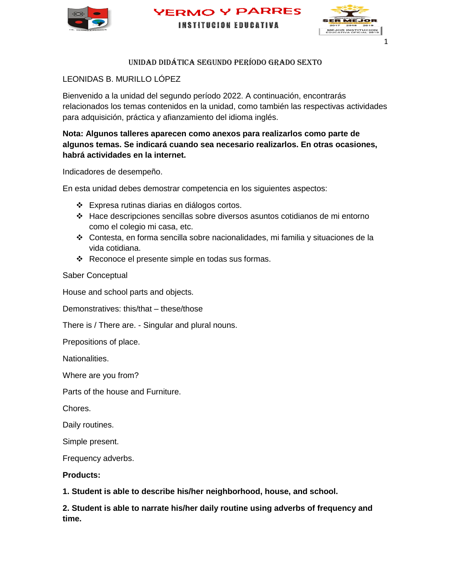





# UNIDAD DIDÁTICA SEGUNDO PERÍODO GRADO SEXTO

# LEONIDAS B. MURILLO LÓPEZ

Bienvenido a la unidad del segundo período 2022. A continuación, encontrarás relacionados los temas contenidos en la unidad, como también las respectivas actividades para adquisición, práctica y afianzamiento del idioma inglés.

# **Nota: Algunos talleres aparecen como anexos para realizarlos como parte de algunos temas. Se indicará cuando sea necesario realizarlos. En otras ocasiones, habrá actividades en la internet.**

Indicadores de desempeño.

En esta unidad debes demostrar competencia en los siguientes aspectos:

- Expresa rutinas diarias en diálogos cortos.
- Hace descripciones sencillas sobre diversos asuntos cotidianos de mi entorno como el colegio mi casa, etc.
- Contesta, en forma sencilla sobre nacionalidades, mi familia y situaciones de la vida cotidiana.
- Reconoce el presente simple en todas sus formas.

Saber Conceptual

House and school parts and objects.

Demonstratives: this/that – these/those

There is / There are. - Singular and plural nouns.

Prepositions of place.

Nationalities.

Where are you from?

Parts of the house and Furniture.

Chores.

Daily routines.

Simple present.

Frequency adverbs.

**Products:**

**1. Student is able to describe his/her neighborhood, house, and school.**

**2. Student is able to narrate his/her daily routine using adverbs of frequency and time.**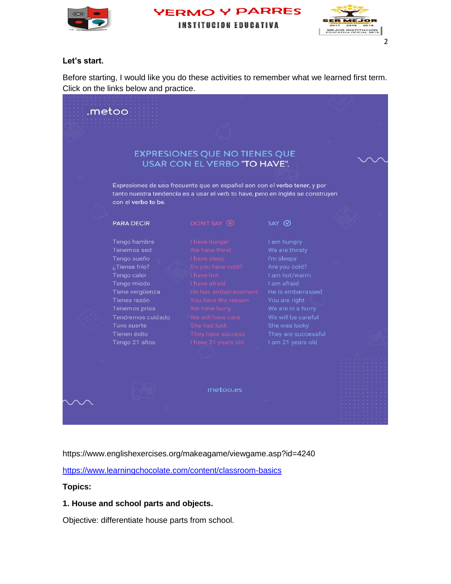





### **Let's start.**

Before starting, I would like you do these activities to remember what we learned first term. Click on the links below and practice.



https://www.englishexercises.org/makeagame/viewgame.asp?id=4240

<https://www.learningchocolate.com/content/classroom-basics>

# **Topics:**

# **1. House and school parts and objects.**

Objective: differentiate house parts from school.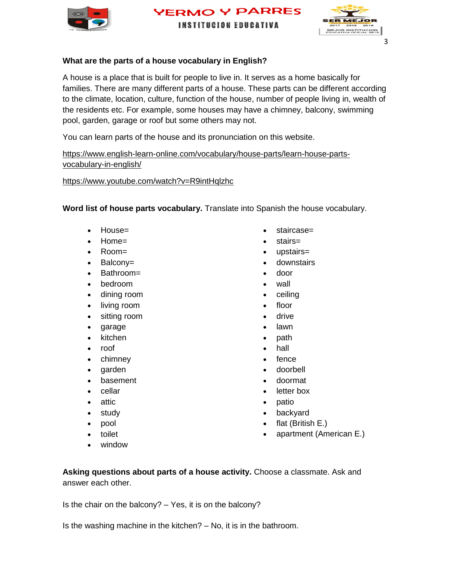

**YERMO Y PARRES INSTITUCION EDUCATIVA** 



# **What are the parts of a house vocabulary in English?**

A house is a place that is built for people to live in. It serves as a home basically for families. There are many different parts of a house. These parts can be different according to the climate, location, culture, function of the house, number of people living in, wealth of the residents etc. For example, some houses may have a chimney, balcony, swimming pool, garden, garage or roof but some others may not.

You can learn parts of the house and its pronunciation on this website.

[https://www.english-learn-online.com/vocabulary/house-parts/learn-house-parts](https://www.english-learn-online.com/vocabulary/house-parts/learn-house-parts-vocabulary-in-english/)[vocabulary-in-english/](https://www.english-learn-online.com/vocabulary/house-parts/learn-house-parts-vocabulary-in-english/)

<https://www.youtube.com/watch?v=R9intHqlzhc>

**Word list of house parts vocabulary.** Translate into Spanish the house vocabulary.

- House=
- Home=
- Room=
- Balcony=
- Bathroom=
- bedroom
- dining room
- living room
- sitting room
- garage
- kitchen
- roof
- chimney
- garden
- basement
- cellar
- attic
- study
- pool
- toilet
- window

**Asking questions about parts of a house activity.** Choose a classmate. Ask and answer each other.

Is the chair on the balcony?  $-$  Yes, it is on the balcony?

Is the washing machine in the kitchen? – No, it is in the bathroom.

- staircase=
- stairs=
- upstairs=
- downstairs
- door
- wall
- ceiling
- floor
- drive
- lawn
- path
- hall
- fence
- doorbell
- doormat
- letter box
- patio
- backyard
- flat (British E.)
- apartment (American E.)

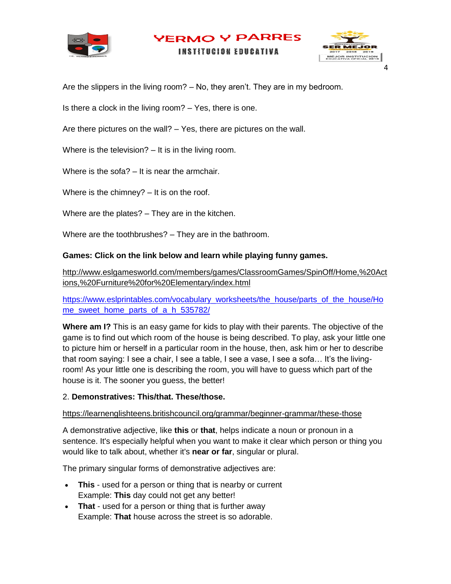

**YERMO Y PARRES INSTITUCION EDUCATIVA** 



Are the slippers in the living room? – No, they aren't. They are in my bedroom.

Is there a clock in the living room? – Yes, there is one.

Are there pictures on the wall? – Yes, there are pictures on the wall.

Where is the television? – It is in the living room.

Where is the sofa? – It is near the armchair.

Where is the chimney? – It is on the roof.

Where are the plates? – They are in the kitchen.

Where are the toothbrushes? – They are in the bathroom.

### **Games: Click on the link below and learn while playing funny games.**

[http://www.eslgamesworld.com/members/games/ClassroomGames/SpinOff/Home,%20Act](http://www.eslgamesworld.com/members/games/ClassroomGames/SpinOff/Home,%20Actions,%20Furniture%20for%20Elementary/index.html) [ions,%20Furniture%20for%20Elementary/index.html](http://www.eslgamesworld.com/members/games/ClassroomGames/SpinOff/Home,%20Actions,%20Furniture%20for%20Elementary/index.html)

[https://www.eslprintables.com/vocabulary\\_worksheets/the\\_house/parts\\_of\\_the\\_house/Ho](https://www.eslprintables.com/vocabulary_worksheets/the_house/parts_of_the_house/Home_sweet_home_parts_of_a_h_535782/) [me\\_sweet\\_home\\_parts\\_of\\_a\\_h\\_535782/](https://www.eslprintables.com/vocabulary_worksheets/the_house/parts_of_the_house/Home_sweet_home_parts_of_a_h_535782/)

**Where am I?** This is an easy game for kids to play with their parents. The objective of the game is to find out which room of the house is being described. To play, ask your little one to picture him or herself in a particular room in the house, then, ask him or her to describe that room saying: I see a chair, I see a table, I see a vase, I see a sofa… It's the livingroom! As your little one is describing the room, you will have to guess which part of the house is it. The sooner you guess, the better!

#### 2. **Demonstratives: This/that. These/those.**

#### <https://learnenglishteens.britishcouncil.org/grammar/beginner-grammar/these-those>

A demonstrative adjective, like **this** or **that**, helps indicate a noun or pronoun in a sentence. It's especially helpful when you want to make it clear which person or thing you would like to talk about, whether it's **near or far**, singular or plural.

The primary singular forms of demonstrative adjectives are:

- **This** used for a person or thing that is nearby or current Example: **This** day could not get any better!
- That used for a person or thing that is further away Example: **That** house across the street is so adorable.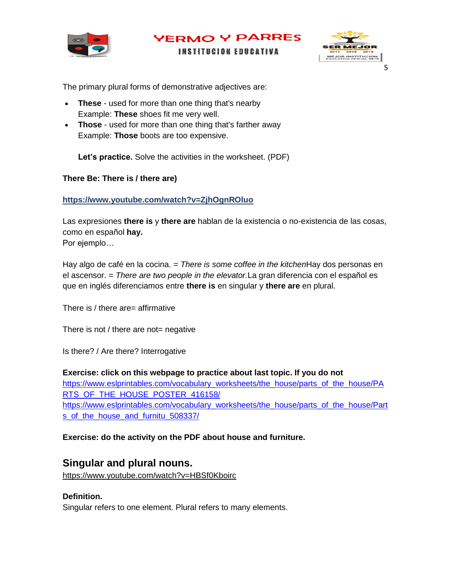



**INSTITUCION EDUCATIVA** 

The primary plural forms of demonstrative adjectives are:

- **These** used for more than one thing that's nearby Example: **These** shoes fit me very well.
- **Those** used for more than one thing that's farther away Example: **Those** boots are too expensive.

**Let's practice.** Solve the activities in the worksheet. (PDF)

### **There Be: There is / there are)**

### **<https://www.youtube.com/watch?v=ZjhOgnROluo>**

Las expresiones **there is** y **there are** hablan de la existencia o no-existencia de las cosas, como en español **hay.** Por ejemplo…

Hay algo de café en la cocina. = *There is some coffee in the kitchen*Hay dos personas en el ascensor. = *There are two people in the elevator.*La gran diferencia con el español es que en inglés diferenciamos entre **there is** en singular y **there are** en plural.

There is / there are= affirmative

There is not / there are not= negative

Is there? / Are there? Interrogative

#### **Exercise: click on this webpage to practice about last topic. If you do not**

[https://www.eslprintables.com/vocabulary\\_worksheets/the\\_house/parts\\_of\\_the\\_house/PA](https://www.eslprintables.com/vocabulary_worksheets/the_house/parts_of_the_house/PARTS_OF_THE_HOUSE_POSTER_416158/) RTS OF THE HOUSE POSTER 416158/ [https://www.eslprintables.com/vocabulary\\_worksheets/the\\_house/parts\\_of\\_the\\_house/Part](https://www.eslprintables.com/vocabulary_worksheets/the_house/parts_of_the_house/Parts_of_the_house_and_furnitu_508337/) [s\\_of\\_the\\_house\\_and\\_furnitu\\_508337/](https://www.eslprintables.com/vocabulary_worksheets/the_house/parts_of_the_house/Parts_of_the_house_and_furnitu_508337/)

# **Exercise: do the activity on the PDF about house and furniture.**

# **Singular and plural nouns.**

<https://www.youtube.com/watch?v=HBSf0Kboirc>

#### **Definition.**

Singular refers to one element. Plural refers to many elements.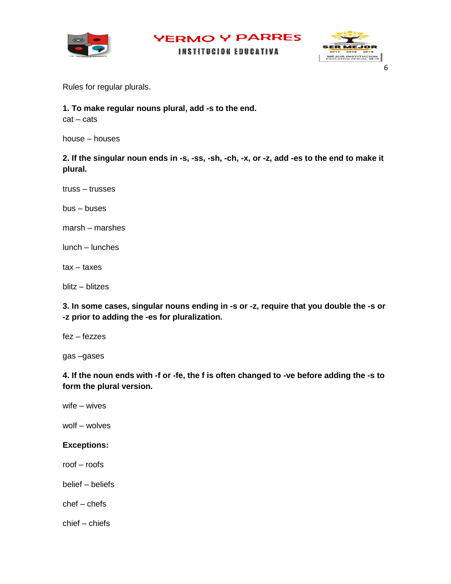

**YERMO Y PARRES INSTITUCION EDUCATIVA** MEJOR INSTITUCION

Rules for regular plurals.

**1. To make regular nouns plural, add -s to the end.**

cat – cats

house – houses

**2. If the singular noun ends in -s, -ss, -sh, -ch, -x, or -z, add -es to the end to make it plural.**

truss – trusses

bus – buses

marsh – marshes

lunch – lunches

tax – taxes

blitz – blitzes

**3. In some cases, singular nouns ending in -s or -z, require that you double the -s or -z prior to adding the -es for pluralization.**

fez – fezzes

gas –gases

**4. If the noun ends with -f or -fe, the f is often changed to -ve before adding the -s to form the plural version.**

wife – wives

wolf – wolves

# **Exceptions:**

roof – roofs

belief – beliefs

chef – chefs

chief – chiefs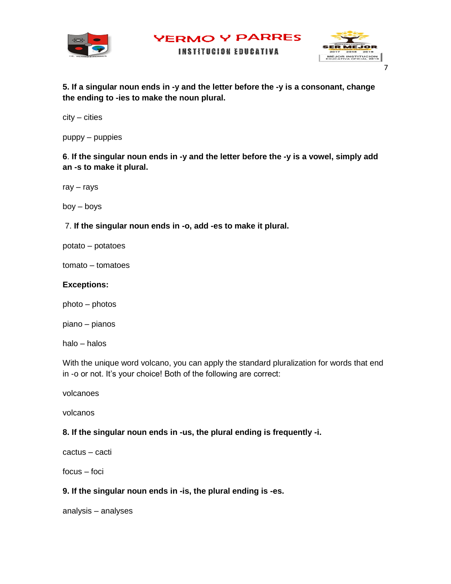



**INSTITUCION EDUCATIVA** 

**5. If a singular noun ends in -y and the letter before the -y is a consonant, change the ending to -ies to make the noun plural.**

city – cities

puppy – puppies

**6**. **If the singular noun ends in -y and the letter before the -y is a vowel, simply add an -s to make it plural.**

ray – rays

boy – boys

7. **If the singular noun ends in -o, add -es to make it plural.**

potato – potatoes

tomato – tomatoes

### **Exceptions:**

photo – photos

piano – pianos

halo – halos

With the unique word volcano, you can apply the standard pluralization for words that end in -o or not. It's your choice! Both of the following are correct:

volcanoes

volcanos

#### **8. If the singular noun ends in -us, the plural ending is frequently -i.**

cactus – cacti

focus – foci

# **9. If the singular noun ends in -is, the plural ending is -es.**

analysis – analyses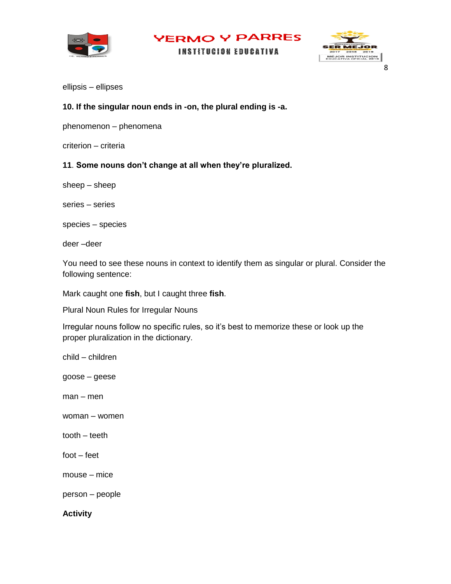

**INSTITUCION EDUCATIVA** 



8

ellipsis – ellipses

# **10. If the singular noun ends in -on, the plural ending is -a.**

phenomenon – phenomena

criterion – criteria

### **11**. **Some nouns don't change at all when they're pluralized.**

sheep – sheep

series – series

species – species

deer –deer

You need to see these nouns in context to identify them as singular or plural. Consider the following sentence:

Mark caught one **fish**, but I caught three **fish**.

Plural Noun Rules for Irregular Nouns

Irregular nouns follow no specific rules, so it's best to memorize these or look up the proper pluralization in the dictionary.

child – children

goose – geese

man – men

woman – women

tooth – teeth

foot – feet

mouse – mice

person – people

**Activity**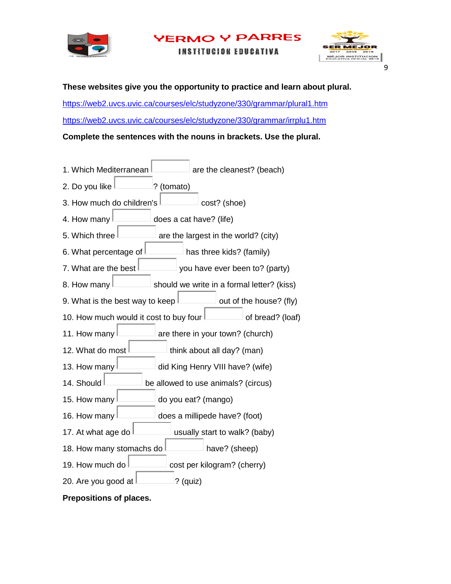

**PARRES** ERMO

**INSTITUCION EDUCATIVA** 



**These websites give you the opportunity to practice and learn about plural.** 

<https://web2.uvcs.uvic.ca/courses/elc/studyzone/330/grammar/plural1.htm> <https://web2.uvcs.uvic.ca/courses/elc/studyzone/330/grammar/irrplu1.htm>

**Complete the sentences with the nouns in brackets. Use the plural.**

- 1. Which Mediterranean  $\Box$  are the cleanest? (beach) 2. Do you like  $\Box$  ? (tomato) 3. How much do children's  $\Box$  cost? (shoe) 4. How many  $\Box$  does a cat have? (life) 5. Which three  $\Box$  are the largest in the world? (city) 6. What percentage of  $\Box$  has three kids? (family) 7. What are the best  $\Box$  you have ever been to? (party) 8. How many  $\Box$  should we write in a formal letter? (kiss) 9. What is the best way to keep  $\Box$  out of the house? (fly) 10. How much would it cost to buy four  $\Box$  of bread? (loaf) 11. How many  $\Box$  are there in your town? (church) 12. What do most  $\vert$  think about all day? (man) 13. How many  $\Box$  did King Henry VIII have? (wife) 14. Should **be allowed to use animals?** (circus) 15. How many  $\Box$  do you eat? (mango) 16. How many  $\Box$  does a millipede have? (foot) 17. At what age do  $\sim$  usually start to walk? (baby) 18. How many stomachs do  $\Box$  have? (sheep) 19. How much do  $\sim$  cost per kilogram? (cherry)
- 20. Are you good at  $|$  20. Are you good at  $|$

**Prepositions of places.**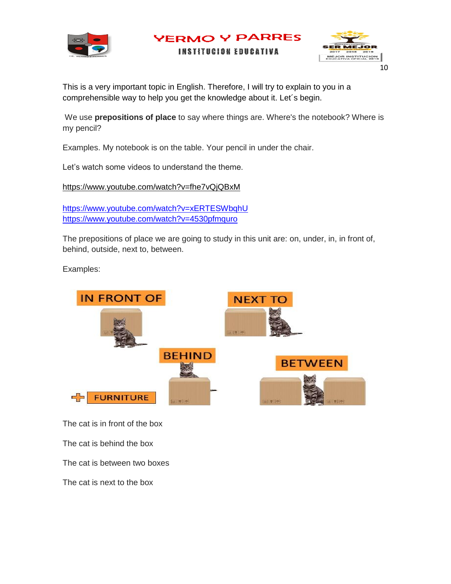



This is a very important topic in English. Therefore, I will try to explain to you in a comprehensible way to help you get the knowledge about it. Let´s begin.

We use **prepositions of place** to say where things are. Where's the notebook? Where is my pencil?

**YERMO Y PARRES INSTITUCION EDUCATIVA** 

Examples. My notebook is on the table. Your pencil in under the chair.

Let's watch some videos to understand the theme.

<https://www.youtube.com/watch?v=fhe7vQjQBxM>

<https://www.youtube.com/watch?v=xERTESWbqhU> <https://www.youtube.com/watch?v=4530pfmquro>

The prepositions of place we are going to study in this unit are: on, under, in, in front of, behind, outside, next to, between.

Examples:



The cat is in front of the box

The cat is behind the box

The cat is between two boxes

The cat is next to the box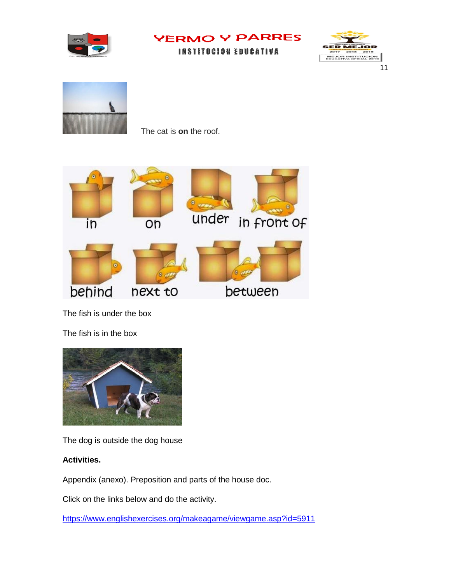

**INSTITUCION EDUCATIVA** 





The cat is **on** the roof.



The fish is under the box

The fish is in the box



The dog is outside the dog house

# **Activities.**

Appendix (anexo). Preposition and parts of the house doc.

Click on the links below and do the activity.

<https://www.englishexercises.org/makeagame/viewgame.asp?id=5911>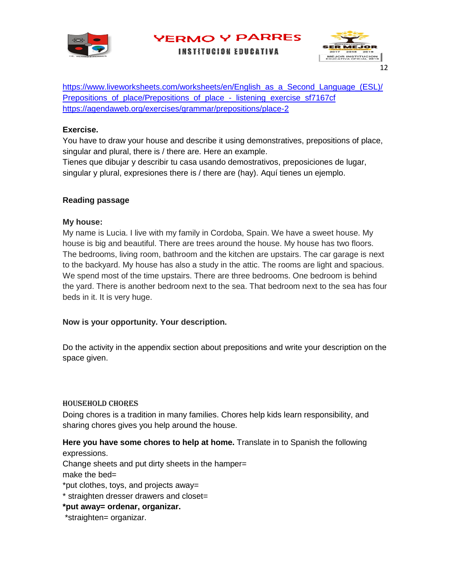

**INSTITUCION EDUCATIVA** 



[https://www.liveworksheets.com/worksheets/en/English\\_as\\_a\\_Second\\_Language\\_\(ESL\)/](https://www.liveworksheets.com/worksheets/en/English_as_a_Second_Language_(ESL)/Prepositions_of_place/Prepositions_of_place_-_listening_exercise_sf7167cf) [Prepositions\\_of\\_place/Prepositions\\_of\\_place\\_-\\_listening\\_exercise\\_sf7167cf](https://www.liveworksheets.com/worksheets/en/English_as_a_Second_Language_(ESL)/Prepositions_of_place/Prepositions_of_place_-_listening_exercise_sf7167cf) <https://agendaweb.org/exercises/grammar/prepositions/place-2>

# **Exercise.**

You have to draw your house and describe it using demonstratives, prepositions of place, singular and plural, there is / there are. Here an example.

Tienes que dibujar y describir tu casa usando demostrativos, preposiciones de lugar, singular y plural, expresiones there is / there are (hay). Aquí tienes un ejemplo.

# **Reading passage**

# **My house:**

My name is Lucia. I live with my family in Cordoba, Spain. We have a sweet house. My house is big and beautiful. There are trees around the house. My house has two floors. The bedrooms, living room, bathroom and the kitchen are upstairs. The car garage is next to the backyard. My house has also a study in the attic. The rooms are light and spacious. We spend most of the time upstairs. There are three bedrooms. One bedroom is behind the yard. There is another bedroom next to the sea. That bedroom next to the sea has four beds in it. It is very huge.

# **Now is your opportunity. Your description.**

Do the activity in the appendix section about prepositions and write your description on the space given.

# Household Chores

Doing chores is a tradition in many families. Chores help kids learn responsibility, and sharing chores gives you help around the house.

**Here you have some chores to help at home.** Translate in to Spanish the following expressions.

Change sheets and put dirty sheets in the hamper= make the bed=

\*put clothes, toys, and projects away=

\* straighten dresser drawers and closet=

# **\*put away= ordenar, organizar.**

\*straighten= organizar.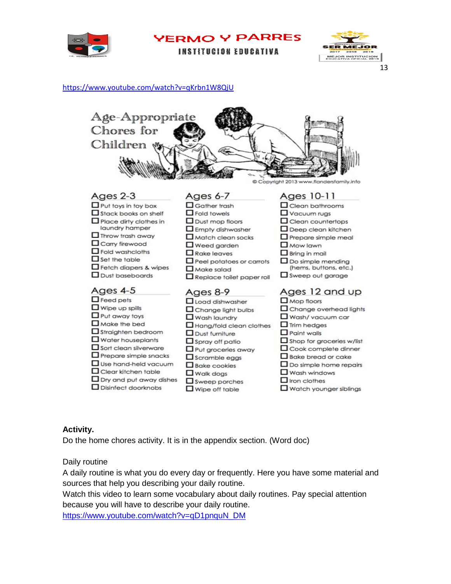

| YERMO Y PARRES |  |  |  |  |
|----------------|--|--|--|--|
|----------------|--|--|--|--|

**INSTITUCION EDUCATIVA** 



#### <https://www.youtube.com/watch?v=qKrbn1W8QjU>



### **Activity.**

Do the home chores activity. It is in the appendix section. (Word doc)

#### Daily routine

A daily routine is what you do every day or frequently. Here you have some material and sources that help you describing your daily routine.

Watch this video to learn some vocabulary about daily routines. Pay special attention because you will have to describe your daily routine.

[https://www.youtube.com/watch?v=qD1pnquN\\_DM](https://www.youtube.com/watch?v=qD1pnquN_DM)